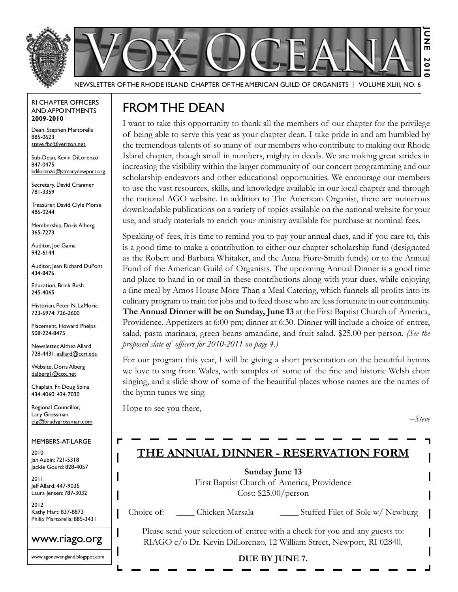



Newsletter of the Rhode Island Chapter of the American Guild of OrganistS | Volume XLIII, No. 6

#### RI Chapter Officers and Appointments **2009-2010**

Dean, Stephen Martorella 885-0623 steve.fbc@verizon.net

Sub-Dean, Kevin DiLorenzo 847-0475 kdilorenzo@stmarynewport.org

Secretary, David Cranmer 781-3359

Treasurer, David Clyle Morse 486-0244

Membership, Doris Alberg 365-7273

Auditor, Joe Gama 942-6144

Auditor, Jean Richard DuPont 434-8476

Education, Brink Bush 245-4065

Historian, Peter N. LaMoria 723-6974; 726-2600

Placement, Howard Phelps 508-224-8475

Newsletter, Althea Allard 728-4431; aallard@ccri.edu

Website, Doris Alberg dalberg1@cox.net

Chaplain, Fr. Doug Spina 434-4060; 434-7030

Regional Councillor, Lary Grossman elg@bradygrossman.com

Members-at-Large

2010 Jan Aubin: 721-5318 Jackie Gourd: 828-4057

2011 Jeff Allard: 447-9035 Laura Jensen: 787-3032

2012 Kathy Hart: 837-8873 Philip Martorella: 885-3431

www.riago.org

www.agonewengland.blogspot.com

# FROMTHE DEAN

I want to take this opportunity to thank all the members of our chapter for the privilege of being able to serve this year as your chapter dean. I take pride in and am humbled by the tremendous talents of so many of our members who contribute to making our Rhode Island chapter, though small in numbers, mighty in deeds. We are making great strides in increasing the visibility within the larger community of our concert programming and our scholarship endeavors and other educational opportunities. We encourage our members to use the vast resources, skills, and knowledge available in our local chapter and through the national AGO website. In addition to The American Organist, there are numerous downloadable publications on a variety of topics available on the national website for your use, and study materials to enrich your ministry available for purchase at nominal fees.

Speaking of fees, it is time to remind you to pay your annual dues, and if you care to, this is a good time to make a contribution to either our chapter scholarship fund (designated as the Robert and Barbara Whitaker, and the Anna Fiore-Smith funds) or to the Annual Fund of the American Guild of Organists. The upcoming Annual Dinner is a good time and place to hand in or mail in these contributions along with your dues, while enjoying a fine meal by Amos House More Than a Meal Catering, which funnels all profits into its culinary program to train for jobs and to feed those who are less fortunate in our community. **The Annual Dinner will be on Sunday, June 13** at the First Baptist Church of America, Providence. Appetizers at 6:00 pm; dinner at 6:30. Dinner will include a choice of entree, salad, pasta marinara, green beans amandine, and fruit salad. \$25.00 per person. *(See the proposed slate of officers for 2010-2011 on page 4.)*

For our program this year, I will be giving a short presentation on the beautiful hymns we love to sing from Wales, with samples of some of the fine and historic Welsh choir singing, and a slide show of some of the beautiful places whose names are the names of the hymn tunes we sing.

Hope to see you there,

*–Steve*

### **The Annual Dinner - Reservation Form**

**Sunday June 13** First Baptist Church of America, Providence Cost: \$25.00/person

Choice of: \_\_\_\_\_\_ Chicken Marsala \_\_\_\_\_\_\_\_ Stuffed Filet of Sole w/ Newburg

Please send your selection of entree with a check for you and any guests to: RIAGO c/o Dr. Kevin DiLorenzo, 12 William Street, Newport, RI 02840.

### **DUE BY JUNE 7.**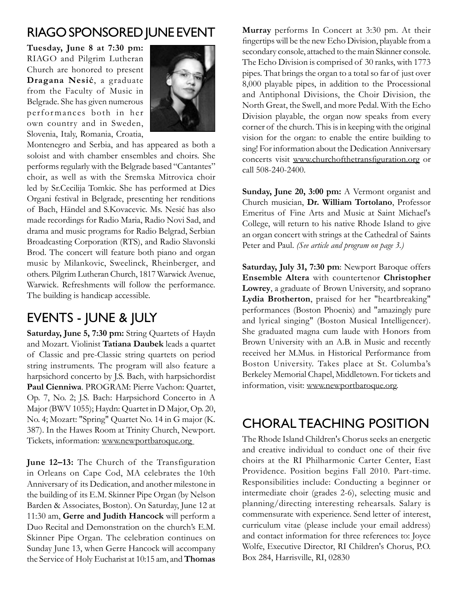### RIAGOSponsored June Event

**Tuesday, June 8 at 7:30 pm:** RIAGO and Pilgrim Lutheran Church are honored to present **Dragana Nesić**, a graduate from the Faculty of Music in Belgrade. She has given numerous perfor mances both in her own country and in Sweden, Slovenia, Italy, Romania, Croatia,



Montenegro and Serbia, and has appeared as both a soloist and with chamber ensembles and choirs. She performs regularly with the Belgrade based "Cantantes" choir, as well as with the Sremska Mitrovica choir led by Sr.Cecilija Tomkic. She has performed at Dies Organi festival in Belgrade, presenting her renditions of Bach, Händel and S.Kovacevic. Ms. Nesić has also made recordings for Radio Maria, Radio Novi Sad, and drama and music programs for Radio Belgrad, Serbian Broadcasting Corporation (RTS), and Radio Slavonski Brod. The concert will feature both piano and organ music by Milankovic, Sweelinck, Rheinberger, and others. Pilgrim Lutheran Church, 1817 Warwick Avenue, Warwick. Refreshments will follow the performance. The building is handicap accessible.

# EVENTS - JUNE & JULY

**Saturday, June 5, 7:30 pm:** String Quartets of Haydn and Mozart. Violinist **Tatiana Daubek** leads a quartet of Classic and pre-Classic string quartets on period string instruments. The program will also feature a harpsichord concerto by J.S. Bach, with harpsichordist **Paul Cienniwa**. PROGRAM: Pierre Vachon: Quartet, Op. 7, No. 2; J.S. Bach: Harpsichord Concerto in A Major (BWV 1055); Haydn: Quartet in D Major, Op. 20, No. 4; Mozart: "Spring" Quartet No. 14 in G major (K. 387). In the Hawes Room at Trinity Church, Newport. Tickets, information: www.newportbaroque.org

**June 12–13:** The Church of the Transfiguration in Orleans on Cape Cod, MA celebrates the 10th Anniversary of its Dedication, and another milestone in the building of its E.M. Skinner Pipe Organ (by Nelson Barden & Associates, Boston). On Saturday, June 12 at 11:30 am, **Gerre and Judith Hancock** will perform a Duo Recital and Demonstration on the church's E.M. Skinner Pipe Organ. The celebration continues on Sunday June 13, when Gerre Hancock will accompany the Service of Holy Eucharist at 10:15 am, and **Thomas** 

**Murray** performs In Concert at 3:30 pm. At their fingertips will be the new Echo Division, playable from a secondary console, attached to the main Skinner console. The Echo Division is comprised of 30 ranks, with 1773 pipes. That brings the organ to a total so far of just over 8,000 playable pipes, in addition to the Processional and Antiphonal Divisions, the Choir Division, the North Great, the Swell, and more Pedal. With the Echo Division playable, the organ now speaks from every corner of the church. This is in keeping with the original vision for the organ: to enable the entire building to sing! For information about the Dedication Anniversary concerts visit www.churchofthetransfiguration.org or call 508-240-2400.

**Sunday, June 20, 3:00 pm:** A Vermont organist and Church musician, **Dr. William Tortolano**, Professor Emeritus of Fine Arts and Music at Saint Michael's College, will return to his native Rhode Island to give an organ concert with strings at the Cathedral of Saints Peter and Paul. *(See article and program on page 3.)*

**Saturday, July 31, 7:30 pm**: Newport Baroque offers **Ensemble Altera** with countertenor **Christopher Lowrey**, a graduate of Brown University, and soprano **Lydia Brotherton**, praised for her "heartbreaking" performances (Boston Phoenix) and "amazingly pure and lyrical singing" (Boston Musical Intelligencer). She graduated magna cum laude with Honors from Brown University with an A.B. in Music and recently received her M.Mus. in Historical Performance from Boston University. Takes place at St. Columba's Berkeley Memorial Chapel, Middletown. For tickets and information, visit: www.newportbaroque.org.

## CHORAL TEACHING POSITION

The Rhode Island Children's Chorus seeks an energetic and creative individual to conduct one of their five choirs at the RI Philharmonic Carter Center, East Providence. Position begins Fall 2010. Part-time. Responsibilities include: Conducting a beginner or intermediate choir (grades 2-6), selecting music and planning/directing interesting rehearsals. Salary is commensurate with experience. Send letter of interest, curriculum vitae (please include your email address) and contact information for three references to: Joyce Wolfe, Executive Director, RI Children's Chorus, P.O. Box 284, Harrisville, RI, 02830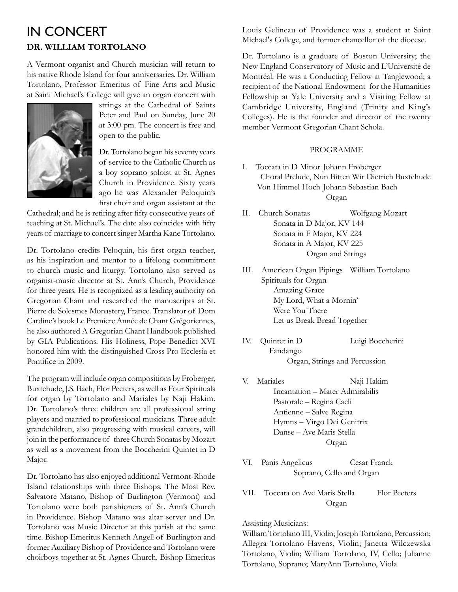### in Concert **Dr. William Tortolano**

A Vermont organist and Church musician will return to his native Rhode Island for four anniversaries. Dr. William Tortolano, Professor Emeritus of Fine Arts and Music at Saint Michael's College will give an organ concert with



strings at the Cathedral of Saints Peter and Paul on Sunday, June 20 at 3:00 pm. The concert is free and open to the public.

Dr. Tortolano began his seventy years of service to the Catholic Church as a boy soprano soloist at St. Agnes Church in Providence. Sixty years ago he was Alexander Peloquin's first choir and organ assistant at the

Cathedral; and he is retiring after fifty consecutive years of teaching at St. Michael's. The date also coincides with fifty years of marriage to concert singer Martha Kane Tortolano.

Dr. Tortolano credits Peloquin, his first organ teacher, as his inspiration and mentor to a lifelong commitment to church music and liturgy. Tortolano also served as organist-music director at St. Ann's Church, Providence for three years. He is recognized as a leading authority on Gregorian Chant and researched the manuscripts at St. Pierre de Solesmes Monastery, France. Translator of Dom Cardine's book Le Premiere Année de Chant Grégoriennes, he also authored A Gregorian Chant Handbook published by GIA Publications. His Holiness, Pope Benedict XVI honored him with the distinguished Cross Pro Ecclesia et Pontifice in 2009.

The program will include organ compositions by Froberger, Buxtehude, J.S. Bach, Flor Peeters, as well as Four Spirituals for organ by Tortolano and Mariales by Naji Hakim. Dr. Tortolano's three children are all professional string players and married to professional musicians. Three adult grandchildren, also progressing with musical careers, will join in the performance of three Church Sonatas by Mozart as well as a movement from the Boccherini Quintet in D Major.

Dr. Tortolano has also enjoyed additional Vermont-Rhode Island relationships with three Bishops. The Most Rev. Salvatore Matano, Bishop of Burlington (Vermont) and Tortolano were both parishioners of St. Ann's Church in Providence. Bishop Matano was altar server and Dr. Tortolano was Music Director at this parish at the same time. Bishop Emeritus Kenneth Angell of Burlington and former Auxiliary Bishop of Providence and Tortolano were choirboys together at St. Agnes Church. Bishop Emeritus

Louis Gelineau of Providence was a student at Saint Michael's College, and former chancellor of the diocese.

Dr. Tortolano is a graduate of Boston University; the New England Conservatory of Music and L'Université de Montréal. He was a Conducting Fellow at Tanglewood; a recipient of the National Endowment for the Humanities Fellowship at Yale University and a Visiting Fellow at Cambridge University, England (Trinity and King's Colleges). He is the founder and director of the twenty member Vermont Gregorian Chant Schola.

#### **PROGRAMME**

- I. Toccata in D Minor Johann Froberger Choral Prelude, Nun Bitten Wir Dietrich Buxtehude Von Himmel Hoch Johann Sebastian Bach Organ
- II. Church Sonatas Wolfgang Mozart Sonata in D Major, KV 144 Sonata in F Major, KV 224 Sonata in A Major, KV 225 Organ and Strings
- III. American Organ Pipings William Tortolano Spirituals for Organ Amazing Grace My Lord, What a Mornin' Were You There Let us Break Bread Together
- IV. Quintet in D Luigi Boccherini Fandango Organ, Strings and Percussion
- V. Mariales Naji Hakim Incantation – Mater Admirabilis Pastorale – Regina Caeli Antienne – Salve Regina Hymns – Virgo Dei Genitrix Danse – Ave Maris Stella Organ
- VI. Panis Angelicus Cesar Franck Soprano, Cello and Organ
- VII. Toccata on Ave Maris Stella Flor Peeters Organ

#### Assisting Musicians:

William Tortolano III, Violin; Joseph Tortolano, Percussion; Allegra Tortolano Havens, Violin; Janetta Wilczewska Tortolano, Violin; William Tortolano, IV, Cello; Julianne Tortolano, Soprano; MaryAnn Tortolano, Viola